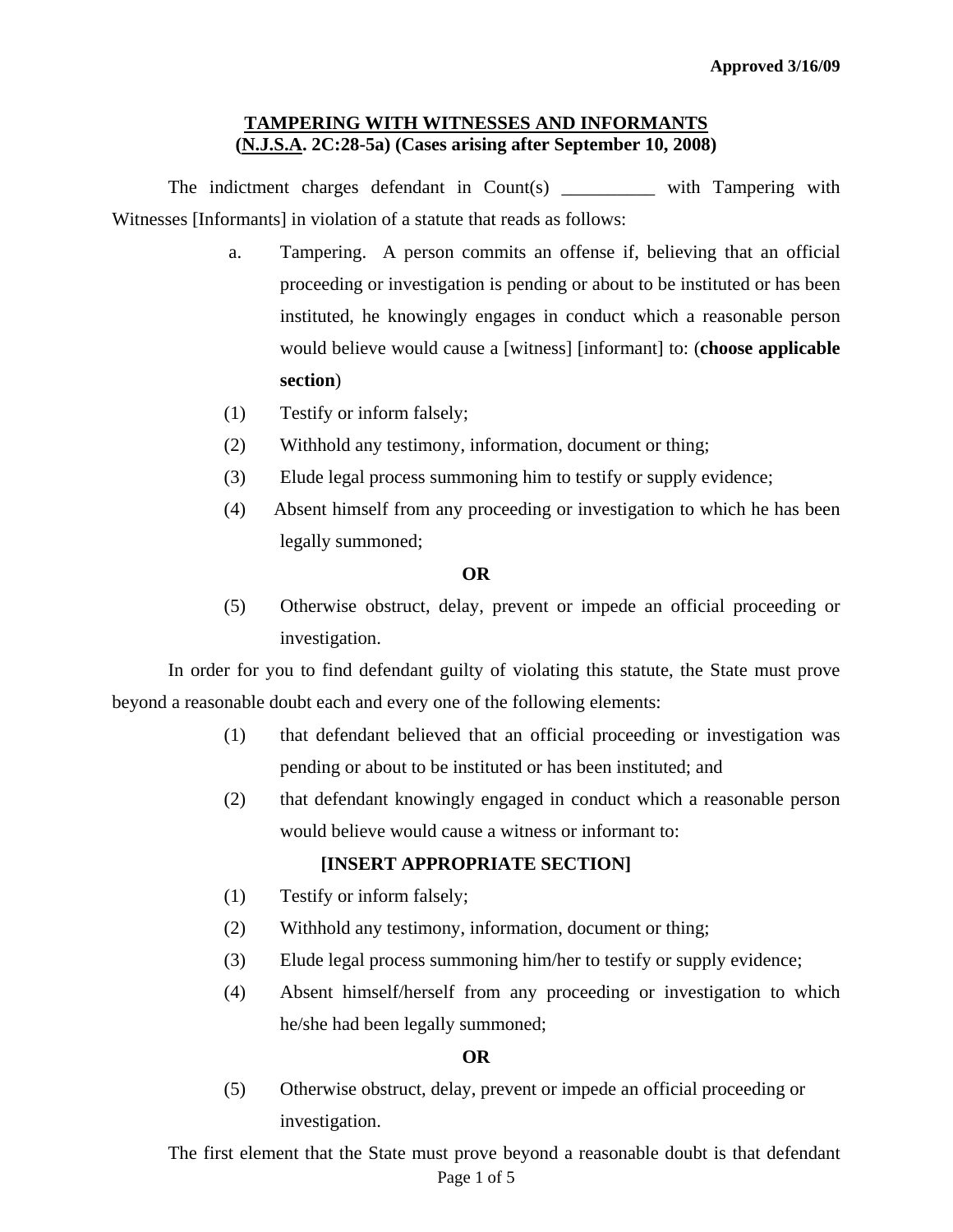## **TAMPERING WITH WITNESSES AND INFORMANTS (N.J.S.A. 2C:28-5a) (Cases arising after September 10, 2008)**

The indictment charges defendant in Count(s) \_\_\_\_\_\_\_\_\_ with Tampering with Witnesses [Informants] in violation of a statute that reads as follows:

- a. Tampering. A person commits an offense if, believing that an official proceeding or investigation is pending or about to be instituted or has been instituted, he knowingly engages in conduct which a reasonable person would believe would cause a [witness] [informant] to: (**choose applicable section**)
- (1) Testify or inform falsely;
- (2) Withhold any testimony, information, document or thing;
- (3) Elude legal process summoning him to testify or supply evidence;
- (4) Absent himself from any proceeding or investigation to which he has been legally summoned;

#### **OR**

(5) Otherwise obstruct, delay, prevent or impede an official proceeding or investigation.

In order for you to find defendant guilty of violating this statute, the State must prove beyond a reasonable doubt each and every one of the following elements:

- (1) that defendant believed that an official proceeding or investigation was pending or about to be instituted or has been instituted; and
- (2) that defendant knowingly engaged in conduct which a reasonable person would believe would cause a witness or informant to:

## **[INSERT APPROPRIATE SECTION]**

- (1) Testify or inform falsely;
- (2) Withhold any testimony, information, document or thing;
- (3) Elude legal process summoning him/her to testify or supply evidence;
- (4) Absent himself/herself from any proceeding or investigation to which he/she had been legally summoned;

#### **OR**

(5) Otherwise obstruct, delay, prevent or impede an official proceeding or investigation.

<span id="page-0-0"></span>Page 1 of 5 The first element that the State must prove beyond a reasonable doubt is that defendant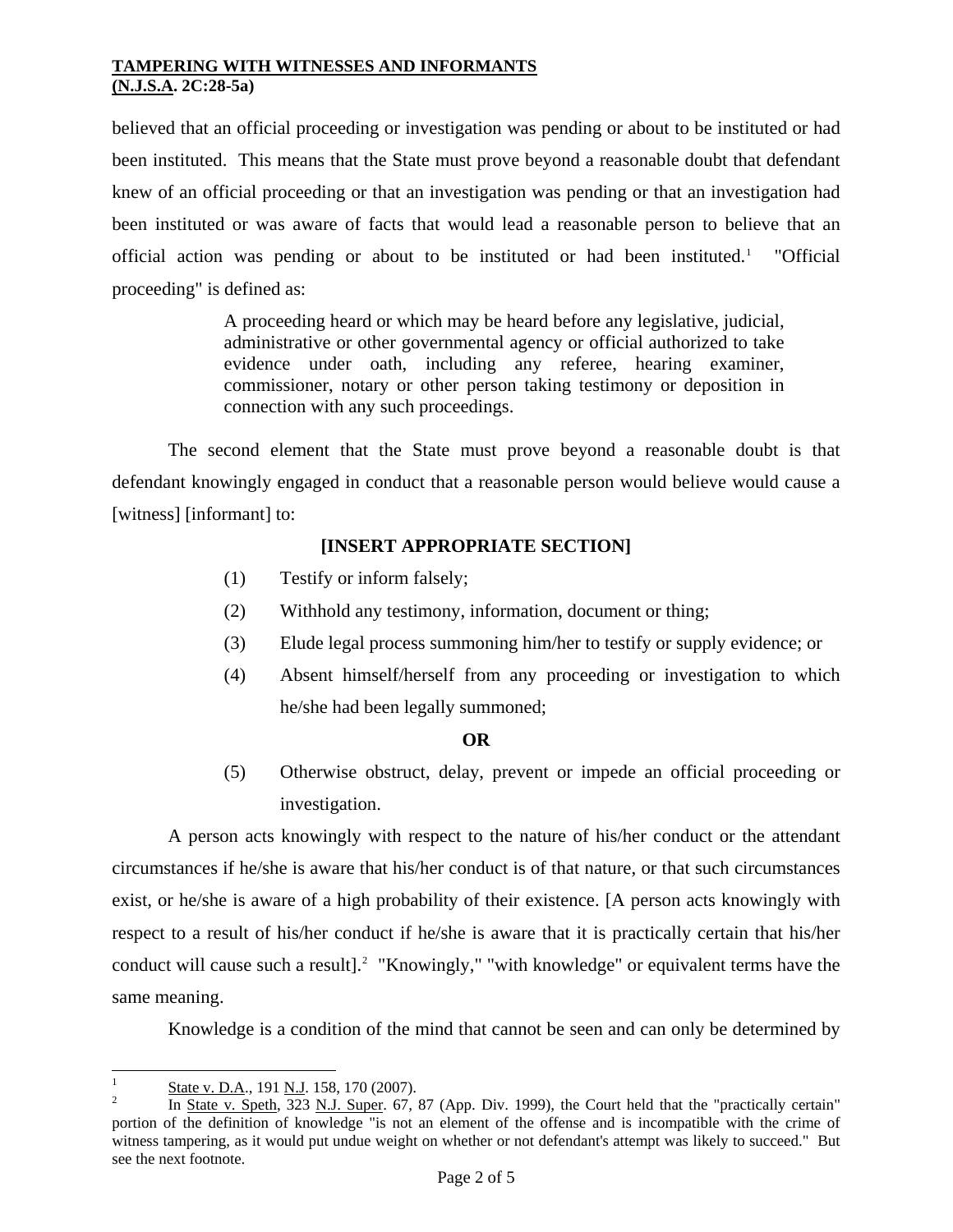believed that an official proceeding or investigation was pending or about to be instituted or had been instituted. This means that the State must prove beyond a reasonable doubt that defendant knew of an official proceeding or that an investigation was pending or that an investigation had been instituted or was aware of facts that would lead a reasonable person to believe that an official action was pending or about to be instituted or had been instituted.<sup>[1](#page-0-0)</sup> "Official proceeding" is defined as:

> A proceeding heard or which may be heard before any legislative, judicial, administrative or other governmental agency or official authorized to take evidence under oath, including any referee, hearing examiner, commissioner, notary or other person taking testimony or deposition in connection with any such proceedings.

 The second element that the State must prove beyond a reasonable doubt is that defendant knowingly engaged in conduct that a reasonable person would believe would cause a [witness] [informant] to:

# **[INSERT APPROPRIATE SECTION]**

- (1) Testify or inform falsely;
- (2) Withhold any testimony, information, document or thing;
- (3) Elude legal process summoning him/her to testify or supply evidence; or
- (4) Absent himself/herself from any proceeding or investigation to which he/she had been legally summoned;

#### **OR**

(5) Otherwise obstruct, delay, prevent or impede an official proceeding or investigation.

 A person acts knowingly with respect to the nature of his/her conduct or the attendant circumstances if he/she is aware that his/her conduct is of that nature, or that such circumstances exist, or he/she is aware of a high probability of their existence. [A person acts knowingly with respect to a result of his/her conduct if he/she is aware that it is practically certain that his/her conduct will cause such a result].<sup>[2](#page-1-0)</sup> "Knowingly," "with knowledge" or equivalent terms have the same meaning.

Knowledge is a condition of the mind that cannot be seen and can only be determined by

 $\frac{1}{1}$ State v. D.A., 191 N.J. 158, 170 (2007).

<span id="page-1-1"></span><span id="page-1-0"></span>In State v. Speth, 323 N.J. Super. 67, 87 (App. Div. 1999), the Court held that the "practically certain" portion of the definition of knowledge "is not an element of the offense and is incompatible with the crime of witness tampering, as it would put undue weight on whether or not defendant's attempt was likely to succeed." But see the next footnote.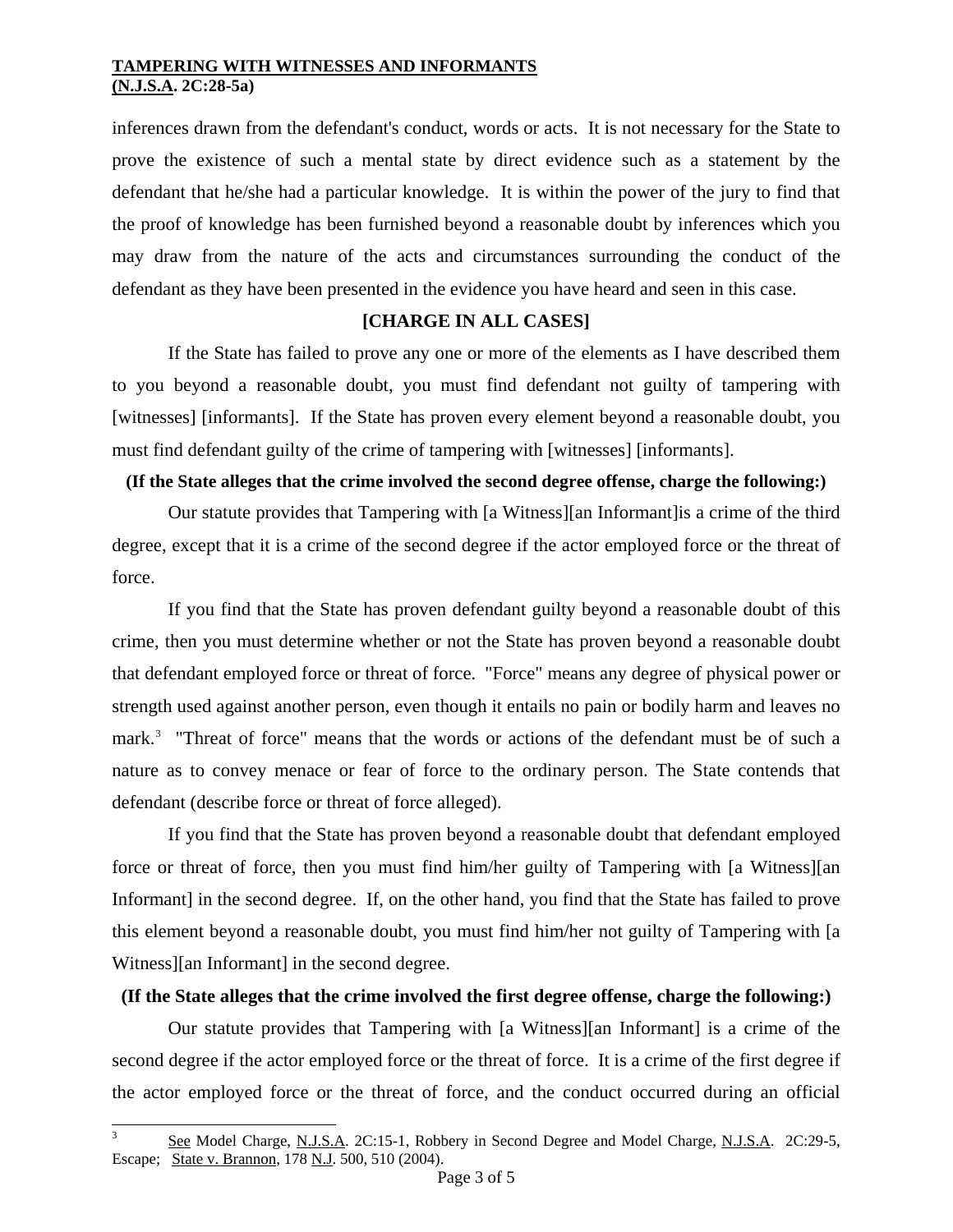inferences drawn from the defendant's conduct, words or acts. It is not necessary for the State to prove the existence of such a mental state by direct evidence such as a statement by the defendant that he/she had a particular knowledge. It is within the power of the jury to find that the proof of knowledge has been furnished beyond a reasonable doubt by inferences which you may draw from the nature of the acts and circumstances surrounding the conduct of the defendant as they have been presented in the evidence you have heard and seen in this case.

## **[CHARGE IN ALL CASES]**

 If the State has failed to prove any one or more of the elements as I have described them to you beyond a reasonable doubt, you must find defendant not guilty of tampering with [witnesses] [informants]. If the State has proven every element beyond a reasonable doubt, you must find defendant guilty of the crime of tampering with [witnesses] [informants].

### **(If the State alleges that the crime involved the second degree offense, charge the following:)**

Our statute provides that Tampering with [a Witness][an Informant]is a crime of the third degree, except that it is a crime of the second degree if the actor employed force or the threat of force.

If you find that the State has proven defendant guilty beyond a reasonable doubt of this crime, then you must determine whether or not the State has proven beyond a reasonable doubt that defendant employed force or threat of force. "Force" means any degree of physical power or strength used against another person, even though it entails no pain or bodily harm and leaves no mark.<sup>[3](#page-1-1)</sup> "Threat of force" means that the words or actions of the defendant must be of such a nature as to convey menace or fear of force to the ordinary person. The State contends that defendant (describe force or threat of force alleged).

 If you find that the State has proven beyond a reasonable doubt that defendant employed force or threat of force, then you must find him/her guilty of Tampering with [a Witness][an Informant] in the second degree. If, on the other hand, you find that the State has failed to prove this element beyond a reasonable doubt, you must find him/her not guilty of Tampering with [a Witness][an Informant] in the second degree.

## <span id="page-2-0"></span>**(If the State alleges that the crime involved the first degree offense, charge the following:)**

Our statute provides that Tampering with [a Witness][an Informant] is a crime of the second degree if the actor employed force or the threat of force.It is a crime of the first degree if the actor employed force or the threat of force, and the conduct occurred during an official

 $\overline{a}$ 

<sup>3</sup> See Model Charge, N.J.S.A. 2C:15-1, Robbery in Second Degree and Model Charge, N.J.S.A. 2C:29-5, Escape; State v. Brannon, 178 N.J. 500, 510 (2004).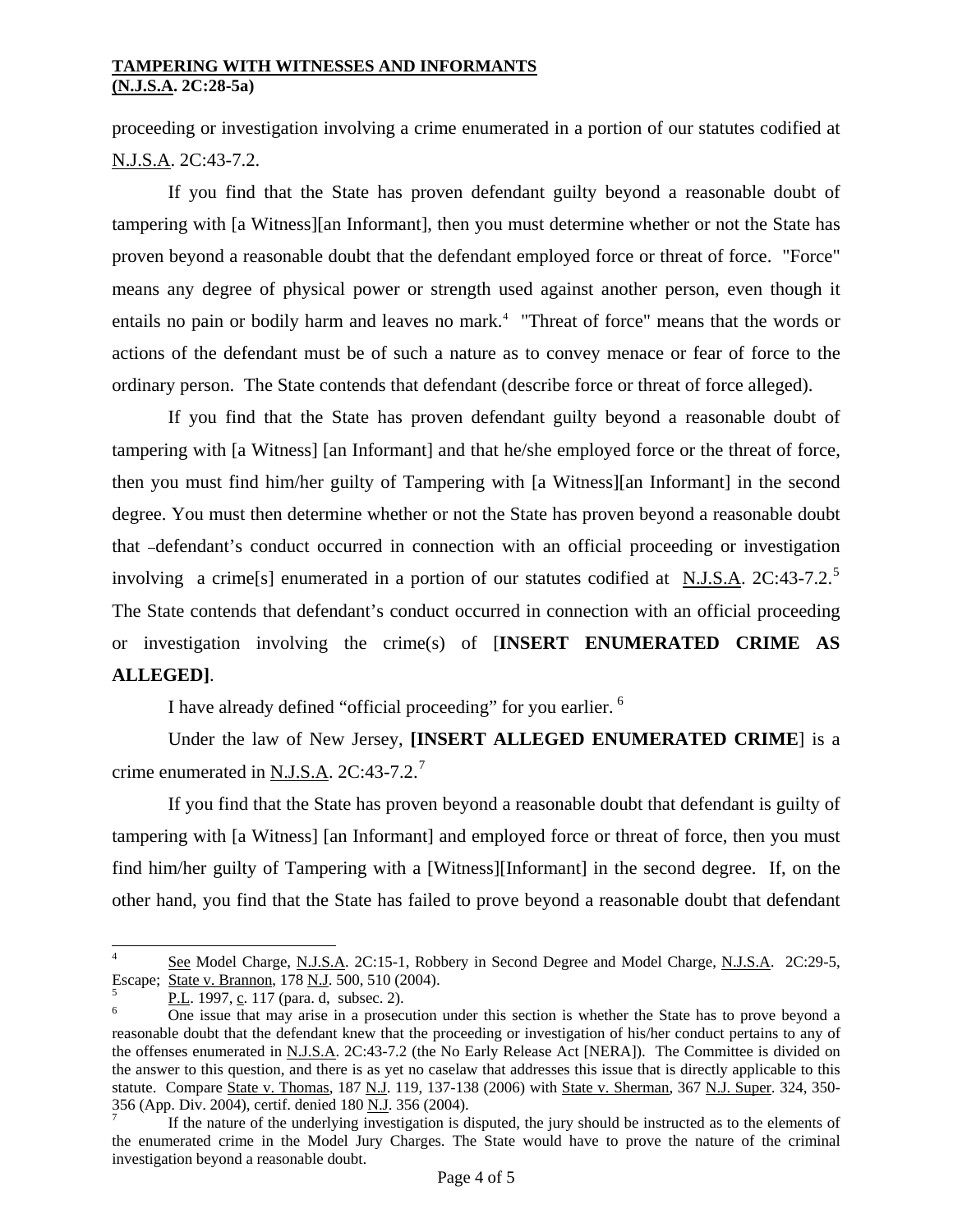proceeding or investigation involving a crime enumerated in a portion of our statutes codified at N.J.S.A. 2C:43-7.2.

 If you find that the State has proven defendant guilty beyond a reasonable doubt of tampering with [a Witness][an Informant], then you must determine whether or not the State has proven beyond a reasonable doubt that the defendant employed force or threat of force. "Force" means any degree of physical power or strength used against another person, even though it entails no pain or bodily harm and leaves no mark.<sup>[4](#page-2-0)</sup> "Threat of force" means that the words or actions of the defendant must be of such a nature as to convey menace or fear of force to the ordinary person. The State contends that defendant (describe force or threat of force alleged).

 If you find that the State has proven defendant guilty beyond a reasonable doubt of tampering with [a Witness] [an Informant] and that he/she employed force or the threat of force, then you must find him/her guilty of Tampering with [a Witness][an Informant] in the second degree. You must then determine whether or not the State has proven beyond a reasonable doubt that -defendant's conduct occurred in connection with an official proceeding or investigation involving a crime s enumerated in a portion of our statutes codified at N.J.S.A.  $2C:43-7.2$ .<sup>[5](#page-3-0)</sup> The State contends that defendant's conduct occurred in connection with an official proceeding or investigation involving the crime(s) of [**INSERT ENUMERATED CRIME AS ALLEGED]**.

I have already defined "official proceeding" for you earlier. [6](#page-3-1)

 Under the law of New Jersey, **[INSERT ALLEGED ENUMERATED CRIME**] is a crime enumerated in N.J.S.A.  $2C:43-7.2$  $2C:43-7.2$  $2C:43-7.2$ <sup>7</sup>

 If you find that the State has proven beyond a reasonable doubt that defendant is guilty of tampering with [a Witness] [an Informant] and employed force or threat of force, then you must find him/her guilty of Tampering with a [Witness][Informant] in the second degree. If, on the other hand, you find that the State has failed to prove beyond a reasonable doubt that defendant

 $\overline{a}$ 

<sup>4</sup> See Model Charge, N.J.S.A. 2C:15-1, Robbery in Second Degree and Model Charge, N.J.S.A. 2C:29-5, Escape; State v. Brannon, 178 N.J. 500, 510 (2004).

<span id="page-3-0"></span>P.L. 1997, c. 117 (para. d, subsec. 2).

<span id="page-3-1"></span>One issue that may arise in a prosecution under this section is whether the State has to prove beyond a reasonable doubt that the defendant knew that the proceeding or investigation of his/her conduct pertains to any of the offenses enumerated in N.J.S.A. 2C:43-7.2 (the No Early Release Act [NERA]). The Committee is divided on the answer to this question, and there is as yet no caselaw that addresses this issue that is directly applicable to this statute. Compare State v. Thomas, 187 N.J. 119, 137-138 (2006) with State v. Sherman, 367 N.J. Super. 324, 350-356 (App. Div. 2004), certif. denied 180 N.J. 356 (2004). 7

<span id="page-3-2"></span>If the nature of the underlying investigation is disputed, the jury should be instructed as to the elements of the enumerated crime in the Model Jury Charges. The State would have to prove the nature of the criminal investigation beyond a reasonable doubt.